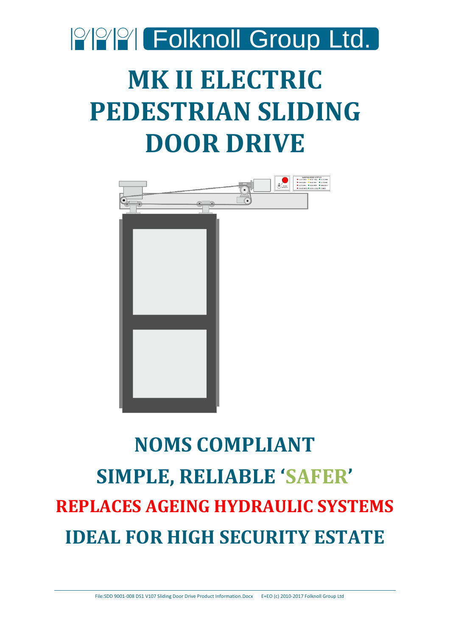

# **MK II ELECTRIC PEDESTRIAN SLIDING DOOR DRIVE**



# **NOMS COMPLIANT SIMPLE, RELIABLE 'SAFER' REPLACES AGEING HYDRAULIC SYSTEMS IDEAL FOR HIGH SECURITY ESTATE**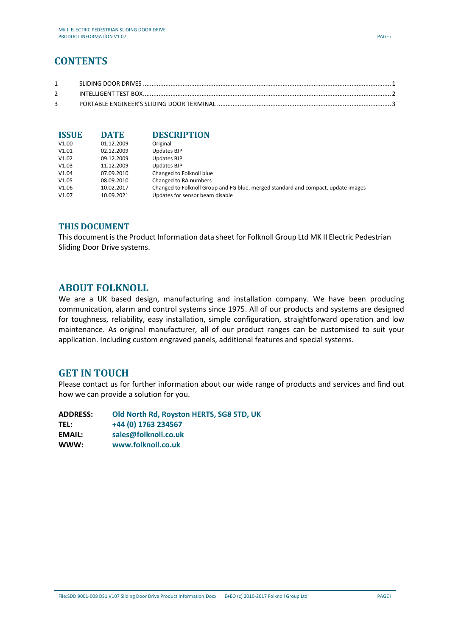## **CONTENTS**

| <b>ISSUE</b> | <b>DATE</b> | <b>DESCRIPTION</b>                                                                |
|--------------|-------------|-----------------------------------------------------------------------------------|
| V1.00        | 01.12.2009  | Original                                                                          |
| V1.01        | 02.12.2009  | Updates BJP                                                                       |
| V1.02        | 09.12.2009  | Updates BJP                                                                       |
| V1.03        | 11.12.2009  | Updates BJP                                                                       |
| V1.04        | 07.09.2010  | Changed to Folknoll blue                                                          |
| V1.05        | 08.09.2010  | Changed to RA numbers                                                             |
| V1.06        | 10.02.2017  | Changed to Folknoll Group and FG blue, merged standard and compact, update images |
| V1.07        | 10.09.2021  | Updates for sensor beam disable                                                   |

#### **THIS DOCUMENT**

This document is the Product Information data sheet for Folknoll Group Ltd MK II Electric Pedestrian Sliding Door Drive systems.

## **ABOUT FOLKNOLL**

We are a UK based design, manufacturing and installation company. We have been producing communication, alarm and control systems since 1975. All of our products and systems are designed for toughness, reliability, easy installation, simple configuration, straightforward operation and low maintenance. As original manufacturer, all of our product ranges can be customised to suit your application. Including custom engraved panels, additional features and special systems.

## **GET IN TOUCH**

Please contact us for further information about our wide range of products and services and find out how we can provide a solution for you.

| <b>ADDRESS:</b> | Old North Rd, Royston HERTS, SG8 5TD, UK |
|-----------------|------------------------------------------|
| <b>TEL:</b>     | +44 (0) 1763 234567                      |
| <b>EMAIL:</b>   | sales@folknoll.co.uk                     |
| WWW:            | www.folknoll.co.uk                       |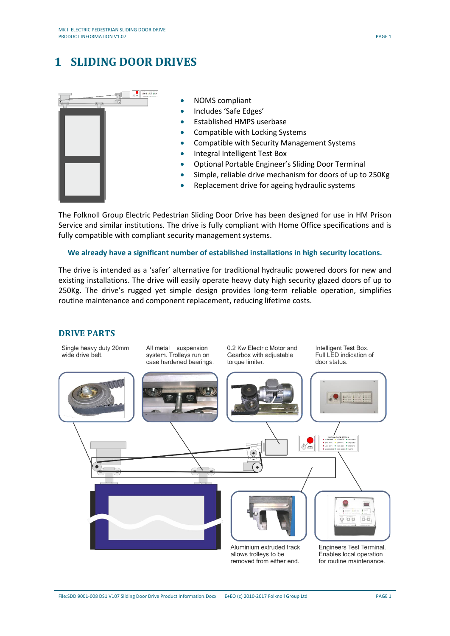## <span id="page-2-0"></span>**1 SLIDING DOOR DRIVES**



- NOMS compliant
- Includes 'Safe Edges'
- Established HMPS userbase
- Compatible with Locking Systems
- Compatible with Security Management Systems
- Integral Intelligent Test Box
- Optional Portable Engineer's Sliding Door Terminal
- Simple, reliable drive mechanism for doors of up to 250Kg
- Replacement drive for ageing hydraulic systems

The Folknoll Group Electric Pedestrian Sliding Door Drive has been designed for use in HM Prison Service and similar institutions. The drive is fully compliant with Home Office specifications and is fully compatible with compliant security management systems.

#### **We already have a significant number of established installations in high security locations.**

The drive is intended as a 'safer' alternative for traditional hydraulic powered doors for new and existing installations. The drive will easily operate heavy duty high security glazed doors of up to 250Kg. The drive's rugged yet simple design provides long-term reliable operation, simplifies routine maintenance and component replacement, reducing lifetime costs.

#### **DRIVE PARTS**

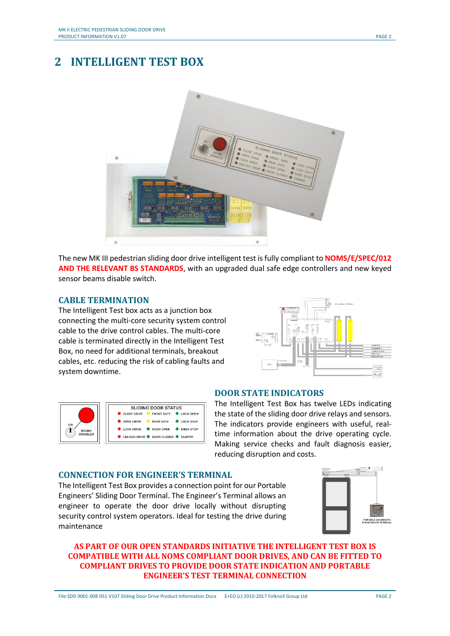## <span id="page-3-0"></span>**2 INTELLIGENT TEST BOX**



The new MK III pedestrian sliding door drive intelligent test is fully compliant to **NOMS/E/SPEC/012 AND THE RELEVANT BS STANDARDS**, with an upgraded dual safe edge controllers and new keyed sensor beams disable switch.

#### **CABLE TERMINATION**

The Intelligent Test box acts as a junction box connecting the multi-core security system control cable to the drive control cables. The multi-core cable is terminated directly in the Intelligent Test Box, no need for additional terminals, breakout cables, etc. reducing the risk of cabling faults and system downtime.





#### **DOOR STATE INDICATORS**

The Intelligent Test Box has twelve LEDs indicating the state of the sliding door drive relays and sensors. The indicators provide engineers with useful, realtime information about the drive operating cycle. Making service checks and fault diagnosis easier, reducing disruption and costs.

#### **CONNECTION FOR ENGINEER'S TERMINAL**

The Intelligent Test Box provides a connection point for our Portable Engineers' Sliding Door Terminal. The Engineer's Terminal allows an engineer to operate the door drive locally without disrupting security control system operators. Ideal for testing the drive during maintenance



#### **AS PART OF OUR OPEN STANDARDS INITIATIVE THE INTELLIGENT TEST BOX IS COMPATIBLE WITH ALL NOMS COMPLIANT DOOR DRIVES, AND CAN BE FITTED TO COMPLIANT DRIVES TO PROVIDE DOOR STATE INDICATION AND PORTABLE ENGINEER'S TEST TERMINAL CONNECTION**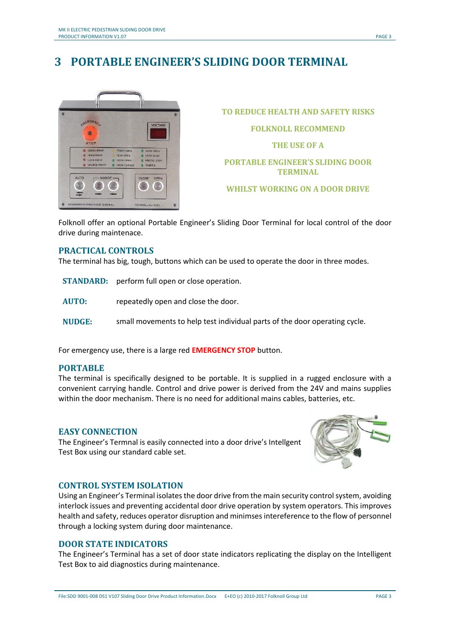# <span id="page-4-0"></span>**3 PORTABLE ENGINEER'S SLIDING DOOR TERMINAL**



**TO REDUCE HEALTH AND SAFETY RISKS FOLKNOLL RECOMMEND THE USE OF A PORTABLE ENGINEER'S SLIDING DOOR TERMINAL WHILST WORKING ON A DOOR DRIVE**

Folknoll offer an optional Portable Engineer's Sliding Door Terminal for local control of the door drive during maintenace.

#### **PRACTICAL CONTROLS**

The terminal has big, tough, buttons which can be used to operate the door in three modes.

- **STANDARD:** perform full open or close operation.
- **AUTO:** repeatedly open and close the door.
- **NUDGE:** small movements to help test individual parts of the door operating cycle.

For emergency use, there is a large red **EMERGENCY STOP** button.

#### **PORTABLE**

The terminal is specifically designed to be portable. It is supplied in a rugged enclosure with a convenient carrying handle. Control and drive power is derived from the 24V and mains supplies within the door mechanism. There is no need for additional mains cables, batteries, etc.

#### **EASY CONNECTION**

The Engineer's Termnal is easily connected into a door drive's Intellgent Test Box using our standard cable set.



#### **CONTROL SYSTEM ISOLATION**

Using an Engineer's Terminal isolates the door drive from the main security control system, avoiding interlock issues and preventing accidental door drive operation by system operators. This improves health and safety, reduces operator disruption and minimses intereference to the flow of personnel through a locking system during door maintenance.

#### **DOOR STATE INDICATORS**

The Engineer's Terminal has a set of door state indicators replicating the display on the Intelligent Test Box to aid diagnostics during maintenance.